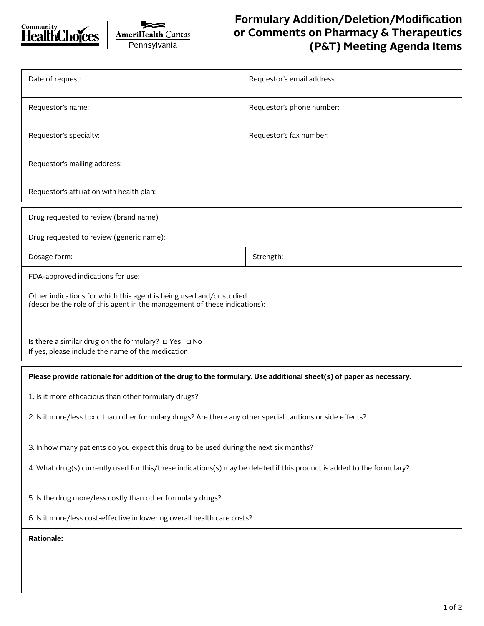



## **Formulary Addition/Deletion/Modification or Comments on Pharmacy & Therapeutics (P&T) Meeting Agenda Items**

| Date of request:                                                                                                                                 | Requestor's email address: |  |  |  |
|--------------------------------------------------------------------------------------------------------------------------------------------------|----------------------------|--|--|--|
| Requestor's name:                                                                                                                                | Requestor's phone number:  |  |  |  |
| Requestor's specialty:                                                                                                                           | Requestor's fax number:    |  |  |  |
| Requestor's mailing address:                                                                                                                     |                            |  |  |  |
| Requestor's affiliation with health plan:                                                                                                        |                            |  |  |  |
| Drug requested to review (brand name):                                                                                                           |                            |  |  |  |
| Drug requested to review (generic name):                                                                                                         |                            |  |  |  |
| Dosage form:                                                                                                                                     | Strength:                  |  |  |  |
| FDA-approved indications for use:                                                                                                                |                            |  |  |  |
| Other indications for which this agent is being used and/or studied<br>(describe the role of this agent in the management of these indications): |                            |  |  |  |
| Is there a similar drug on the formulary? $\Box$ Yes $\Box$ No<br>If yes, please include the name of the medication                              |                            |  |  |  |
| Please provide rationale for addition of the drug to the formulary. Use additional sheet(s) of paper as necessary.                               |                            |  |  |  |
| 1. Is it more efficacious than other formulary drugs?                                                                                            |                            |  |  |  |
| 2. Is it more/less toxic than other formulary drugs? Are there any other special cautions or side effects?                                       |                            |  |  |  |
| 3. In how many patients do you expect this drug to be used during the next six months?                                                           |                            |  |  |  |
| 4. What drug(s) currently used for this/these indications(s) may be deleted if this product is added to the formulary?                           |                            |  |  |  |
| 5. Is the drug more/less costly than other formulary drugs?                                                                                      |                            |  |  |  |
| 6. Is it more/less cost-effective in lowering overall health care costs?                                                                         |                            |  |  |  |
| <b>Rationale:</b>                                                                                                                                |                            |  |  |  |